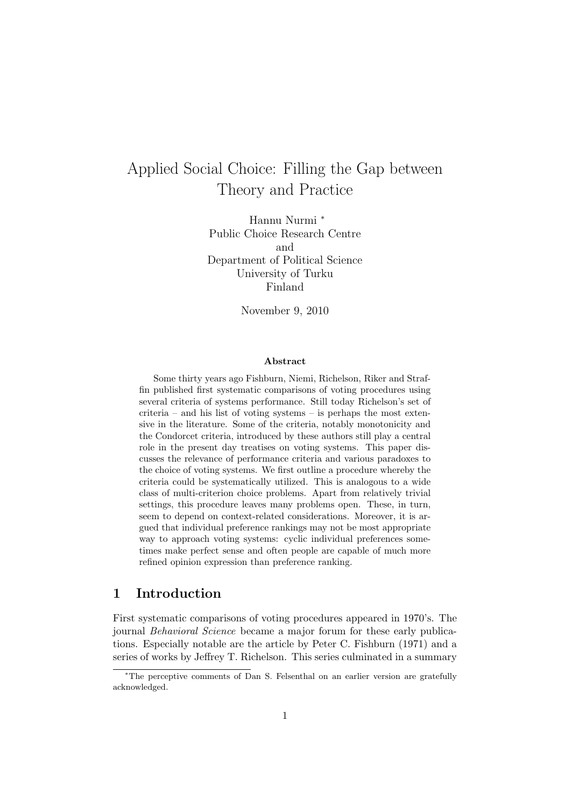# Applied Social Choice: Filling the Gap between Theory and Practice

Hannu Nurmi <sup>∗</sup> Public Choice Research Centre and Department of Political Science University of Turku Finland

November 9, 2010

#### Abstract

Some thirty years ago Fishburn, Niemi, Richelson, Riker and Straffin published first systematic comparisons of voting procedures using several criteria of systems performance. Still today Richelson's set of  $c$ riteria – and his list of voting systems – is perhaps the most extensive in the literature. Some of the criteria, notably monotonicity and the Condorcet criteria, introduced by these authors still play a central role in the present day treatises on voting systems. This paper discusses the relevance of performance criteria and various paradoxes to the choice of voting systems. We first outline a procedure whereby the criteria could be systematically utilized. This is analogous to a wide class of multi-criterion choice problems. Apart from relatively trivial settings, this procedure leaves many problems open. These, in turn, seem to depend on context-related considerations. Moreover, it is argued that individual preference rankings may not be most appropriate way to approach voting systems: cyclic individual preferences sometimes make perfect sense and often people are capable of much more refined opinion expression than preference ranking.

# 1 Introduction

First systematic comparisons of voting procedures appeared in 1970's. The journal Behavioral Science became a major forum for these early publications. Especially notable are the article by Peter C. Fishburn (1971) and a series of works by Jeffrey T. Richelson. This series culminated in a summary

<sup>∗</sup>The perceptive comments of Dan S. Felsenthal on an earlier version are gratefully acknowledged.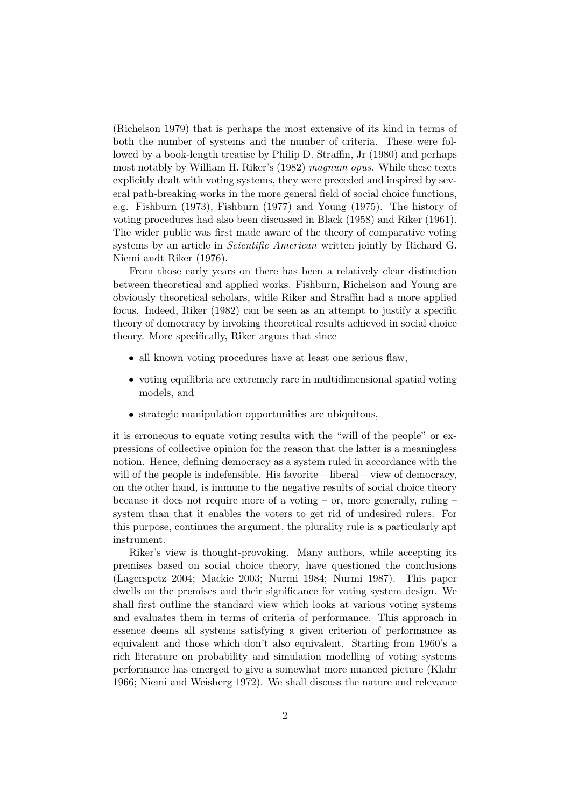(Richelson 1979) that is perhaps the most extensive of its kind in terms of both the number of systems and the number of criteria. These were followed by a book-length treatise by Philip D. Straffin, Jr (1980) and perhaps most notably by William H. Riker's (1982) magnum opus. While these texts explicitly dealt with voting systems, they were preceded and inspired by several path-breaking works in the more general field of social choice functions, e.g. Fishburn (1973), Fishburn (1977) and Young (1975). The history of voting procedures had also been discussed in Black (1958) and Riker (1961). The wider public was first made aware of the theory of comparative voting systems by an article in Scientific American written jointly by Richard G. Niemi andt Riker (1976).

From those early years on there has been a relatively clear distinction between theoretical and applied works. Fishburn, Richelson and Young are obviously theoretical scholars, while Riker and Straffin had a more applied focus. Indeed, Riker (1982) can be seen as an attempt to justify a specific theory of democracy by invoking theoretical results achieved in social choice theory. More specifically, Riker argues that since

- all known voting procedures have at least one serious flaw,
- voting equilibria are extremely rare in multidimensional spatial voting models, and
- strategic manipulation opportunities are ubiquitous,

it is erroneous to equate voting results with the "will of the people" or expressions of collective opinion for the reason that the latter is a meaningless notion. Hence, defining democracy as a system ruled in accordance with the will of the people is indefensible. His favorite – liberal – view of democracy, on the other hand, is immune to the negative results of social choice theory because it does not require more of a voting  $-$  or, more generally, ruling  $$ system than that it enables the voters to get rid of undesired rulers. For this purpose, continues the argument, the plurality rule is a particularly apt instrument.

Riker's view is thought-provoking. Many authors, while accepting its premises based on social choice theory, have questioned the conclusions (Lagerspetz 2004; Mackie 2003; Nurmi 1984; Nurmi 1987). This paper dwells on the premises and their significance for voting system design. We shall first outline the standard view which looks at various voting systems and evaluates them in terms of criteria of performance. This approach in essence deems all systems satisfying a given criterion of performance as equivalent and those which don't also equivalent. Starting from 1960's a rich literature on probability and simulation modelling of voting systems performance has emerged to give a somewhat more nuanced picture (Klahr 1966; Niemi and Weisberg 1972). We shall discuss the nature and relevance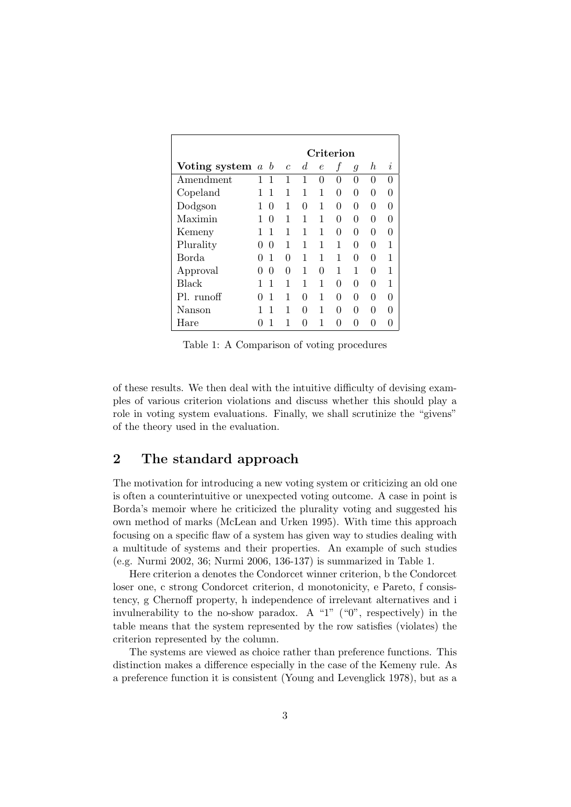| Voting system $a \, b$ |                              | $\mathfrak{c}$ | d        |            | Criterion |   | h | i        |
|------------------------|------------------------------|----------------|----------|------------|-----------|---|---|----------|
|                        |                              |                |          | $\epsilon$ | f         | g |   |          |
| Amendment              | 1<br>1                       | 1              | 1        | 0          | 0         | 0 | 0 | 0        |
| Copeland               | 1                            | 1              | 1        | 1          | 0         | 0 | 0 | $\theta$ |
| Dodgson                | $\theta$<br>1                | 1              | 0        | 1          | 0         | 0 | 0 | 0        |
| Maximin                | $\theta$<br>1                | 1              | 1        | 1          | 0         | 0 | 0 | $\theta$ |
| Kemeny                 | 1                            | 1              | 1        | 1          | 0         | 0 | 0 | 0        |
| Plurality              | 0<br>$\mathbf{\Omega}$       | 1              | 1        | 1          | 1         | 0 | 0 | 1        |
| Borda                  | $\mathbf{1}$<br>$\mathbf{0}$ | 0              | 1        | 1          | 1         | 0 | 0 | 1        |
| Approval               | 0<br>$\mathbf{\Omega}$       | 0              | 1        | 0          | 1         | 1 | 0 | 1        |
| Black                  | 1                            | 1              | 1        | 1          | 0         | 0 | 0 | 1        |
| Pl. runoff             | 1<br>$\mathbf{\Omega}$       | 1              | 0        | 1          | 0         | 0 | 0 | 0        |
| Nanson                 | 1                            | 1              | $\Omega$ | 1          | 0         | 0 | 0 | 0        |
| Hare                   | 1                            | 1              | 0        | 1          | 0         | 0 | 0 |          |

Table 1: A Comparison of voting procedures

of these results. We then deal with the intuitive difficulty of devising examples of various criterion violations and discuss whether this should play a role in voting system evaluations. Finally, we shall scrutinize the "givens" of the theory used in the evaluation.

# 2 The standard approach

The motivation for introducing a new voting system or criticizing an old one is often a counterintuitive or unexpected voting outcome. A case in point is Borda's memoir where he criticized the plurality voting and suggested his own method of marks (McLean and Urken 1995). With time this approach focusing on a specific flaw of a system has given way to studies dealing with a multitude of systems and their properties. An example of such studies (e.g. Nurmi 2002, 36; Nurmi 2006, 136-137) is summarized in Table 1.

Here criterion a denotes the Condorcet winner criterion, b the Condorcet loser one, c strong Condorcet criterion, d monotonicity, e Pareto, f consistency, g Chernoff property, h independence of irrelevant alternatives and i invulnerability to the no-show paradox. A "1" ("0", respectively) in the table means that the system represented by the row satisfies (violates) the criterion represented by the column.

The systems are viewed as choice rather than preference functions. This distinction makes a difference especially in the case of the Kemeny rule. As a preference function it is consistent (Young and Levenglick 1978), but as a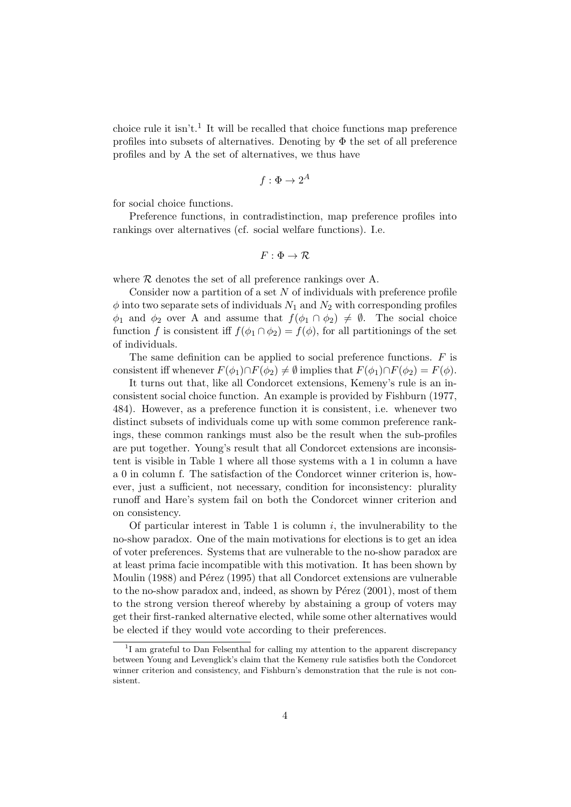choice rule it isn't.<sup>1</sup> It will be recalled that choice functions map preference profiles into subsets of alternatives. Denoting by  $\Phi$  the set of all preference profiles and by A the set of alternatives, we thus have

$$
f: \Phi \to 2^A
$$

for social choice functions.

Preference functions, in contradistinction, map preference profiles into rankings over alternatives (cf. social welfare functions). I.e.

$$
F:\Phi\to\mathcal{R}
$$

where  $R$  denotes the set of all preference rankings over A.

Consider now a partition of a set  $N$  of individuals with preference profile  $\phi$  into two separate sets of individuals  $N_1$  and  $N_2$  with corresponding profiles  $\phi_1$  and  $\phi_2$  over A and assume that  $f(\phi_1 \cap \phi_2) \neq \emptyset$ . The social choice function f is consistent iff  $f(\phi_1 \cap \phi_2) = f(\phi)$ , for all partitionings of the set of individuals.

The same definition can be applied to social preference functions.  $F$  is consistent iff whenever  $F(\phi_1) \cap F(\phi_2) \neq \emptyset$  implies that  $F(\phi_1) \cap F(\phi_2) = F(\phi)$ .

It turns out that, like all Condorcet extensions, Kemeny's rule is an inconsistent social choice function. An example is provided by Fishburn (1977, 484). However, as a preference function it is consistent, i.e. whenever two distinct subsets of individuals come up with some common preference rankings, these common rankings must also be the result when the sub-profiles are put together. Young's result that all Condorcet extensions are inconsistent is visible in Table 1 where all those systems with a 1 in column a have a 0 in column f. The satisfaction of the Condorcet winner criterion is, however, just a sufficient, not necessary, condition for inconsistency: plurality runoff and Hare's system fail on both the Condorcet winner criterion and on consistency.

Of particular interest in Table 1 is column  $i$ , the invulnerability to the no-show paradox. One of the main motivations for elections is to get an idea of voter preferences. Systems that are vulnerable to the no-show paradox are at least prima facie incompatible with this motivation. It has been shown by Moulin  $(1988)$  and Pérez  $(1995)$  that all Condorcet extensions are vulnerable to the no-show paradox and, indeed, as shown by  $P$  $érez$   $(2001)$ , most of them to the strong version thereof whereby by abstaining a group of voters may get their first-ranked alternative elected, while some other alternatives would be elected if they would vote according to their preferences.

<sup>&</sup>lt;sup>1</sup>I am grateful to Dan Felsenthal for calling my attention to the apparent discrepancy between Young and Levenglick's claim that the Kemeny rule satisfies both the Condorcet winner criterion and consistency, and Fishburn's demonstration that the rule is not consistent.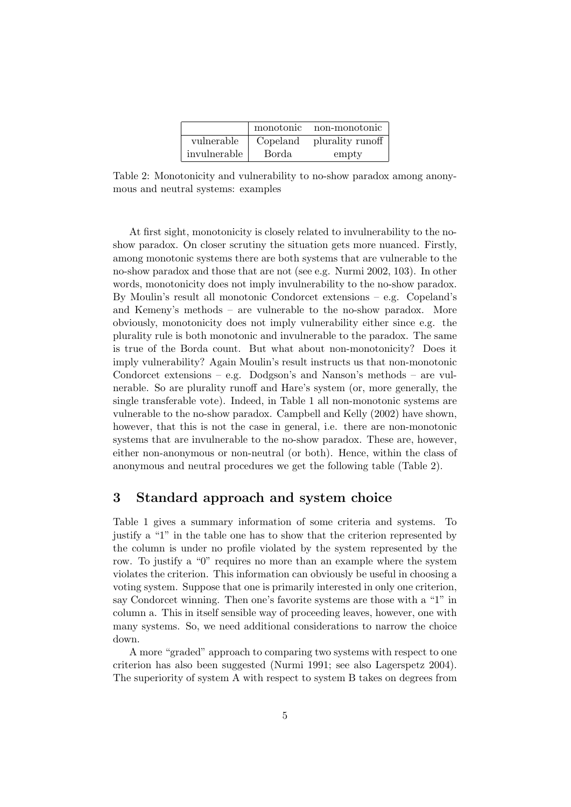|              |          | monotonic non-monotonic |
|--------------|----------|-------------------------|
| vulnerable   | Copeland | plurality runoff        |
| invulnerable | Borda    | empty                   |

Table 2: Monotonicity and vulnerability to no-show paradox among anonymous and neutral systems: examples

At first sight, monotonicity is closely related to invulnerability to the noshow paradox. On closer scrutiny the situation gets more nuanced. Firstly, among monotonic systems there are both systems that are vulnerable to the no-show paradox and those that are not (see e.g. Nurmi 2002, 103). In other words, monotonicity does not imply invulnerability to the no-show paradox. By Moulin's result all monotonic Condorcet extensions – e.g. Copeland's and Kemeny's methods – are vulnerable to the no-show paradox. More obviously, monotonicity does not imply vulnerability either since e.g. the plurality rule is both monotonic and invulnerable to the paradox. The same is true of the Borda count. But what about non-monotonicity? Does it imply vulnerability? Again Moulin's result instructs us that non-monotonic Condorcet extensions – e.g. Dodgson's and Nanson's methods – are vulnerable. So are plurality runoff and Hare's system (or, more generally, the single transferable vote). Indeed, in Table 1 all non-monotonic systems are vulnerable to the no-show paradox. Campbell and Kelly (2002) have shown, however, that this is not the case in general, i.e. there are non-monotonic systems that are invulnerable to the no-show paradox. These are, however, either non-anonymous or non-neutral (or both). Hence, within the class of anonymous and neutral procedures we get the following table (Table 2).

### 3 Standard approach and system choice

Table 1 gives a summary information of some criteria and systems. To justify a "1" in the table one has to show that the criterion represented by the column is under no profile violated by the system represented by the row. To justify a "0" requires no more than an example where the system violates the criterion. This information can obviously be useful in choosing a voting system. Suppose that one is primarily interested in only one criterion, say Condorcet winning. Then one's favorite systems are those with a "1" in column a. This in itself sensible way of proceeding leaves, however, one with many systems. So, we need additional considerations to narrow the choice down.

A more "graded" approach to comparing two systems with respect to one criterion has also been suggested (Nurmi 1991; see also Lagerspetz 2004). The superiority of system A with respect to system B takes on degrees from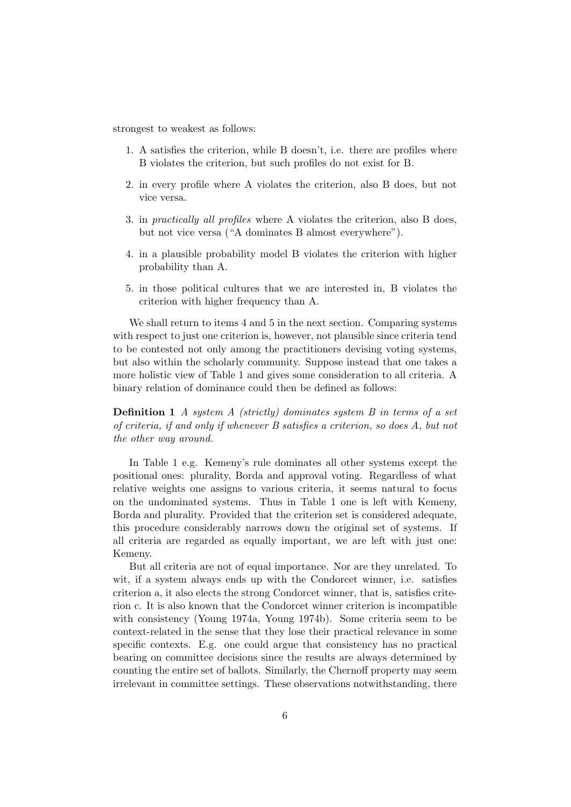strongest to weakest as follows:

- 1. A satisfies the criterion, while B doesn't, i.e. there are profiles where B violates the criterion, but such profiles do not exist for B.
- 2. in every profile where A violates the criterion, also B does, but not vice versa.
- 3. in practically all profiles where A violates the criterion, also B does, but not vice versa ("A dominates B almost everywhere").
- 4. in a plausible probability model B violates the criterion with higher probability than A.
- 5. in those political cultures that we are interested in, B violates the criterion with higher frequency than A.

We shall return to items 4 and 5 in the next section. Comparing systems with respect to just one criterion is, however, not plausible since criteria tend to be contested not only among the practitioners devising voting systems, but also within the scholarly community. Suppose instead that one takes a more holistic view of Table 1 and gives some consideration to all criteria. A binary relation of dominance could then be defined as follows:

**Definition 1** A system A (strictly) dominates system B in terms of a set of criteria, if and only if whenever B satisfies a criterion, so does A, but not the other way around.

In Table 1 e.g. Kemeny's rule dominates all other systems except the positional ones: plurality, Borda and approval voting. Regardless of what relative weights one assigns to various criteria, it seems natural to focus on the undominated systems. Thus in Table 1 one is left with Kemeny, Borda and plurality. Provided that the criterion set is considered adequate, this procedure considerably narrows down the original set of systems. If all criteria are regarded as equally important, we are left with just one: Kemeny.

But all criteria are not of equal importance. Nor are they unrelated. To wit, if a system always ends up with the Condorcet winner, i.e. satisfies criterion a, it also elects the strong Condorcet winner, that is, satisfies criterion c. It is also known that the Condorcet winner criterion is incompatible with consistency (Young 1974a, Young 1974b). Some criteria seem to be context-related in the sense that they lose their practical relevance in some specific contexts. E.g. one could argue that consistency has no practical bearing on committee decisions since the results are always determined by counting the entire set of ballots. Similarly, the Chernoff property may seem irrelevant in committee settings. These observations notwithstanding, there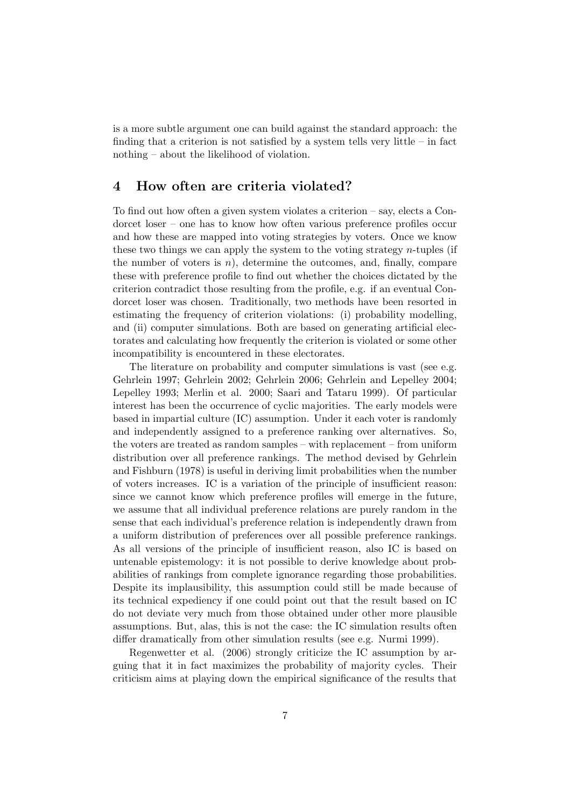is a more subtle argument one can build against the standard approach: the finding that a criterion is not satisfied by a system tells very little  $-$  in fact nothing – about the likelihood of violation.

## 4 How often are criteria violated?

To find out how often a given system violates a criterion – say, elects a Condorcet loser – one has to know how often various preference profiles occur and how these are mapped into voting strategies by voters. Once we know these two things we can apply the system to the voting strategy  $n$ -tuples (if the number of voters is  $n$ , determine the outcomes, and, finally, compare these with preference profile to find out whether the choices dictated by the criterion contradict those resulting from the profile, e.g. if an eventual Condorcet loser was chosen. Traditionally, two methods have been resorted in estimating the frequency of criterion violations: (i) probability modelling, and (ii) computer simulations. Both are based on generating artificial electorates and calculating how frequently the criterion is violated or some other incompatibility is encountered in these electorates.

The literature on probability and computer simulations is vast (see e.g. Gehrlein 1997; Gehrlein 2002; Gehrlein 2006; Gehrlein and Lepelley 2004; Lepelley 1993; Merlin et al. 2000; Saari and Tataru 1999). Of particular interest has been the occurrence of cyclic majorities. The early models were based in impartial culture (IC) assumption. Under it each voter is randomly and independently assigned to a preference ranking over alternatives. So, the voters are treated as random samples – with replacement – from uniform distribution over all preference rankings. The method devised by Gehrlein and Fishburn (1978) is useful in deriving limit probabilities when the number of voters increases. IC is a variation of the principle of insufficient reason: since we cannot know which preference profiles will emerge in the future, we assume that all individual preference relations are purely random in the sense that each individual's preference relation is independently drawn from a uniform distribution of preferences over all possible preference rankings. As all versions of the principle of insufficient reason, also IC is based on untenable epistemology: it is not possible to derive knowledge about probabilities of rankings from complete ignorance regarding those probabilities. Despite its implausibility, this assumption could still be made because of its technical expediency if one could point out that the result based on IC do not deviate very much from those obtained under other more plausible assumptions. But, alas, this is not the case: the IC simulation results often differ dramatically from other simulation results (see e.g. Nurmi 1999).

Regenwetter et al. (2006) strongly criticize the IC assumption by arguing that it in fact maximizes the probability of majority cycles. Their criticism aims at playing down the empirical significance of the results that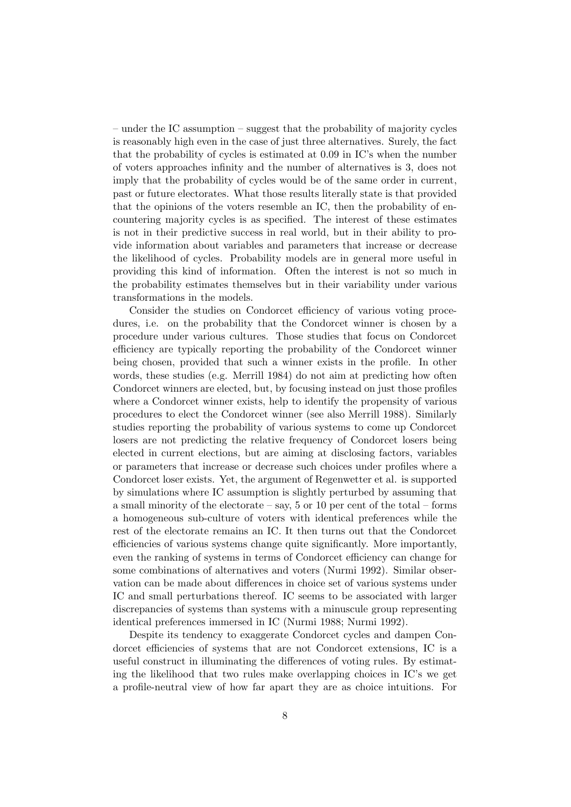– under the IC assumption – suggest that the probability of majority cycles is reasonably high even in the case of just three alternatives. Surely, the fact that the probability of cycles is estimated at 0.09 in IC's when the number of voters approaches infinity and the number of alternatives is 3, does not imply that the probability of cycles would be of the same order in current, past or future electorates. What those results literally state is that provided that the opinions of the voters resemble an IC, then the probability of encountering majority cycles is as specified. The interest of these estimates is not in their predictive success in real world, but in their ability to provide information about variables and parameters that increase or decrease the likelihood of cycles. Probability models are in general more useful in providing this kind of information. Often the interest is not so much in the probability estimates themselves but in their variability under various transformations in the models.

Consider the studies on Condorcet efficiency of various voting procedures, i.e. on the probability that the Condorcet winner is chosen by a procedure under various cultures. Those studies that focus on Condorcet efficiency are typically reporting the probability of the Condorcet winner being chosen, provided that such a winner exists in the profile. In other words, these studies (e.g. Merrill 1984) do not aim at predicting how often Condorcet winners are elected, but, by focusing instead on just those profiles where a Condorcet winner exists, help to identify the propensity of various procedures to elect the Condorcet winner (see also Merrill 1988). Similarly studies reporting the probability of various systems to come up Condorcet losers are not predicting the relative frequency of Condorcet losers being elected in current elections, but are aiming at disclosing factors, variables or parameters that increase or decrease such choices under profiles where a Condorcet loser exists. Yet, the argument of Regenwetter et al. is supported by simulations where IC assumption is slightly perturbed by assuming that a small minority of the electorate – say, 5 or 10 per cent of the total – forms a homogeneous sub-culture of voters with identical preferences while the rest of the electorate remains an IC. It then turns out that the Condorcet efficiencies of various systems change quite significantly. More importantly, even the ranking of systems in terms of Condorcet efficiency can change for some combinations of alternatives and voters (Nurmi 1992). Similar observation can be made about differences in choice set of various systems under IC and small perturbations thereof. IC seems to be associated with larger discrepancies of systems than systems with a minuscule group representing identical preferences immersed in IC (Nurmi 1988; Nurmi 1992).

Despite its tendency to exaggerate Condorcet cycles and dampen Condorcet efficiencies of systems that are not Condorcet extensions, IC is a useful construct in illuminating the differences of voting rules. By estimating the likelihood that two rules make overlapping choices in IC's we get a profile-neutral view of how far apart they are as choice intuitions. For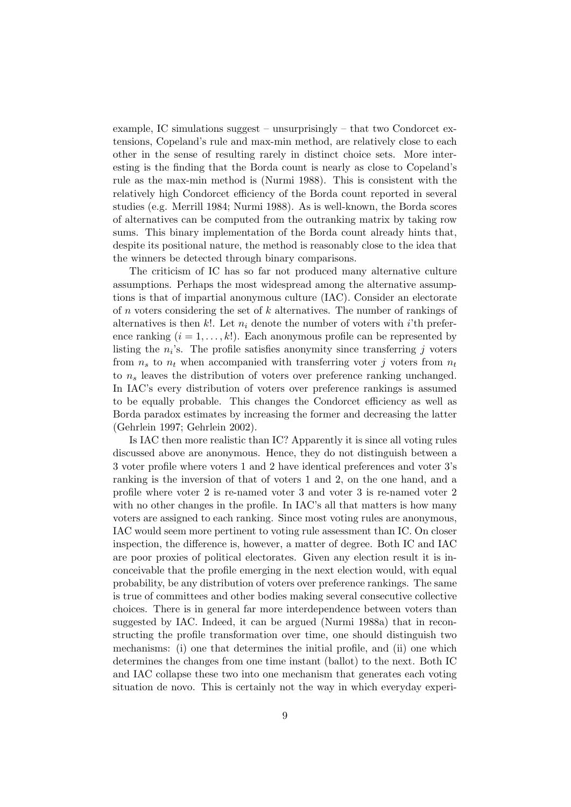example, IC simulations suggest – unsurprisingly – that two Condorcet extensions, Copeland's rule and max-min method, are relatively close to each other in the sense of resulting rarely in distinct choice sets. More interesting is the finding that the Borda count is nearly as close to Copeland's rule as the max-min method is (Nurmi 1988). This is consistent with the relatively high Condorcet efficiency of the Borda count reported in several studies (e.g. Merrill 1984; Nurmi 1988). As is well-known, the Borda scores of alternatives can be computed from the outranking matrix by taking row sums. This binary implementation of the Borda count already hints that, despite its positional nature, the method is reasonably close to the idea that the winners be detected through binary comparisons.

The criticism of IC has so far not produced many alternative culture assumptions. Perhaps the most widespread among the alternative assumptions is that of impartial anonymous culture (IAC). Consider an electorate of  $n$  voters considering the set of  $k$  alternatives. The number of rankings of alternatives is then k!. Let  $n_i$  denote the number of voters with i'th preference ranking  $(i = 1, \ldots, k!)$ . Each anonymous profile can be represented by listing the  $n_i$ 's. The profile satisfies anonymity since transferring  $j$  voters from  $n_s$  to  $n_t$  when accompanied with transferring voter j voters from  $n_t$ to  $n_s$  leaves the distribution of voters over preference ranking unchanged. In IAC's every distribution of voters over preference rankings is assumed to be equally probable. This changes the Condorcet efficiency as well as Borda paradox estimates by increasing the former and decreasing the latter (Gehrlein 1997; Gehrlein 2002).

Is IAC then more realistic than IC? Apparently it is since all voting rules discussed above are anonymous. Hence, they do not distinguish between a 3 voter profile where voters 1 and 2 have identical preferences and voter 3's ranking is the inversion of that of voters 1 and 2, on the one hand, and a profile where voter 2 is re-named voter 3 and voter 3 is re-named voter 2 with no other changes in the profile. In IAC's all that matters is how many voters are assigned to each ranking. Since most voting rules are anonymous, IAC would seem more pertinent to voting rule assessment than IC. On closer inspection, the difference is, however, a matter of degree. Both IC and IAC are poor proxies of political electorates. Given any election result it is inconceivable that the profile emerging in the next election would, with equal probability, be any distribution of voters over preference rankings. The same is true of committees and other bodies making several consecutive collective choices. There is in general far more interdependence between voters than suggested by IAC. Indeed, it can be argued (Nurmi 1988a) that in reconstructing the profile transformation over time, one should distinguish two mechanisms: (i) one that determines the initial profile, and (ii) one which determines the changes from one time instant (ballot) to the next. Both IC and IAC collapse these two into one mechanism that generates each voting situation de novo. This is certainly not the way in which everyday experi-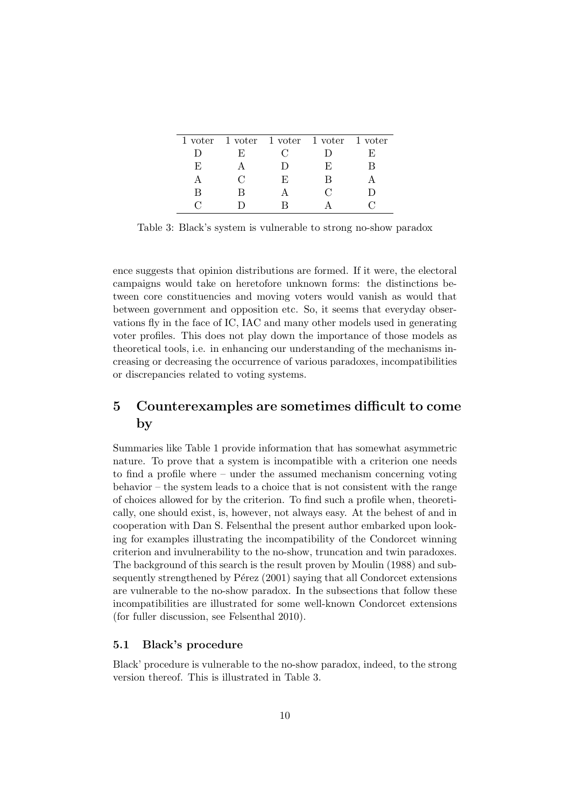|    | 1 voter 1 voter 1 voter 1 voter 1 voter |                  |                  |  |
|----|-----------------------------------------|------------------|------------------|--|
|    | Н,                                      | $\mathfrak{c}$ : |                  |  |
| Н) |                                         |                  | Н,               |  |
|    |                                         | н.               | R                |  |
| R  | R                                       |                  | $\mathfrak{c}$ : |  |
|    |                                         |                  |                  |  |

Table 3: Black's system is vulnerable to strong no-show paradox

ence suggests that opinion distributions are formed. If it were, the electoral campaigns would take on heretofore unknown forms: the distinctions between core constituencies and moving voters would vanish as would that between government and opposition etc. So, it seems that everyday observations fly in the face of IC, IAC and many other models used in generating voter profiles. This does not play down the importance of those models as theoretical tools, i.e. in enhancing our understanding of the mechanisms increasing or decreasing the occurrence of various paradoxes, incompatibilities or discrepancies related to voting systems.

# 5 Counterexamples are sometimes difficult to come by

Summaries like Table 1 provide information that has somewhat asymmetric nature. To prove that a system is incompatible with a criterion one needs to find a profile where – under the assumed mechanism concerning voting behavior – the system leads to a choice that is not consistent with the range of choices allowed for by the criterion. To find such a profile when, theoretically, one should exist, is, however, not always easy. At the behest of and in cooperation with Dan S. Felsenthal the present author embarked upon looking for examples illustrating the incompatibility of the Condorcet winning criterion and invulnerability to the no-show, truncation and twin paradoxes. The background of this search is the result proven by Moulin (1988) and subsequently strengthened by  $P$ *e*rez  $(2001)$  saying that all Condorcet extensions are vulnerable to the no-show paradox. In the subsections that follow these incompatibilities are illustrated for some well-known Condorcet extensions (for fuller discussion, see Felsenthal 2010).

#### 5.1 Black's procedure

Black' procedure is vulnerable to the no-show paradox, indeed, to the strong version thereof. This is illustrated in Table 3.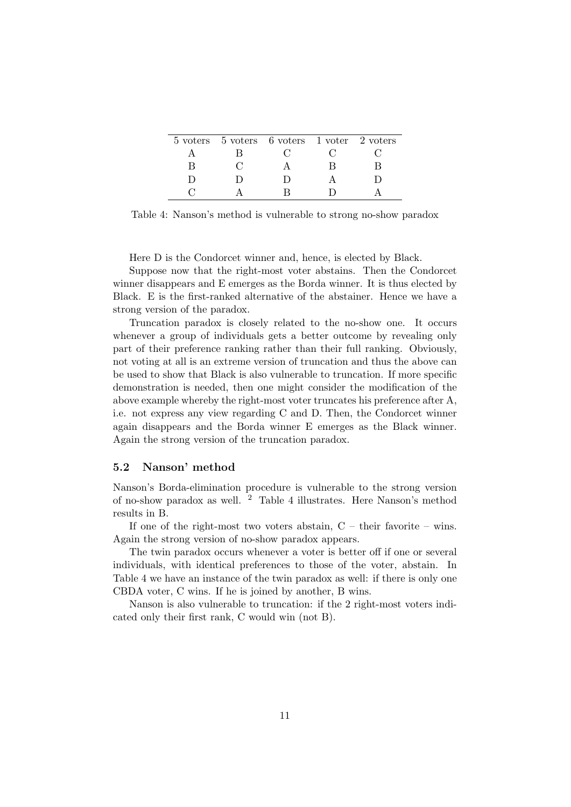| 5 voters 5 voters 6 voters 1 voter 2 voters |  |  |
|---------------------------------------------|--|--|
|                                             |  |  |
|                                             |  |  |
|                                             |  |  |
|                                             |  |  |

Table 4: Nanson's method is vulnerable to strong no-show paradox

Here D is the Condorcet winner and, hence, is elected by Black.

Suppose now that the right-most voter abstains. Then the Condorcet winner disappears and E emerges as the Borda winner. It is thus elected by Black. E is the first-ranked alternative of the abstainer. Hence we have a strong version of the paradox.

Truncation paradox is closely related to the no-show one. It occurs whenever a group of individuals gets a better outcome by revealing only part of their preference ranking rather than their full ranking. Obviously, not voting at all is an extreme version of truncation and thus the above can be used to show that Black is also vulnerable to truncation. If more specific demonstration is needed, then one might consider the modification of the above example whereby the right-most voter truncates his preference after A, i.e. not express any view regarding C and D. Then, the Condorcet winner again disappears and the Borda winner E emerges as the Black winner. Again the strong version of the truncation paradox.

#### 5.2 Nanson' method

Nanson's Borda-elimination procedure is vulnerable to the strong version of no-show paradox as well. <sup>2</sup> Table 4 illustrates. Here Nanson's method results in B.

If one of the right-most two voters abstain,  $C$  – their favorite – wins. Again the strong version of no-show paradox appears.

The twin paradox occurs whenever a voter is better off if one or several individuals, with identical preferences to those of the voter, abstain. In Table 4 we have an instance of the twin paradox as well: if there is only one CBDA voter, C wins. If he is joined by another, B wins.

Nanson is also vulnerable to truncation: if the 2 right-most voters indicated only their first rank, C would win (not B).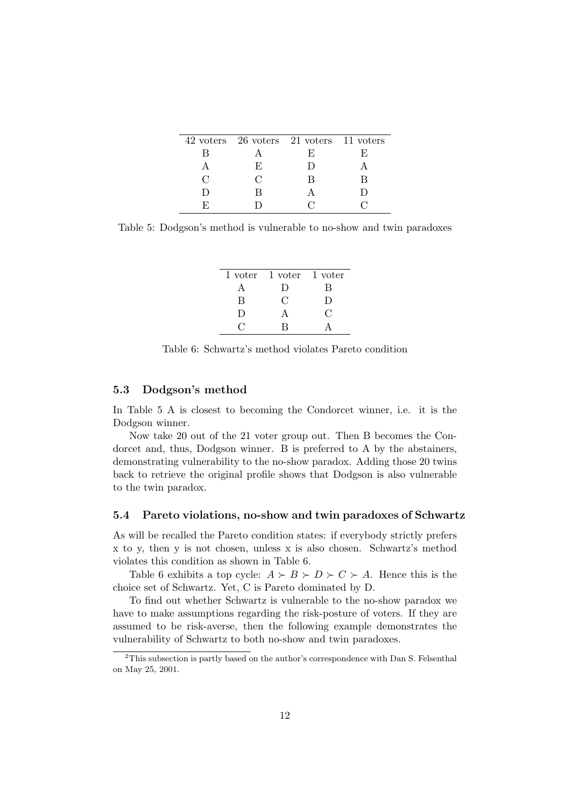|        |        | 42 voters 26 voters 21 voters 11 voters |    |
|--------|--------|-----------------------------------------|----|
|        |        | F.                                      | н. |
|        | н.     |                                         |    |
| $\cap$ | $\cap$ | R                                       |    |
|        | R      |                                         |    |
|        |        |                                         |    |

Table 5: Dodgson's method is vulnerable to no-show and twin paradoxes

|     | 1 voter 1 voter 1 voter |        |
|-----|-------------------------|--------|
|     | $\Box$                  | В      |
| В   | ( )                     | $\Box$ |
| Ð   |                         | . I    |
| . . | R                       |        |

Table 6: Schwartz's method violates Pareto condition

#### 5.3 Dodgson's method

In Table 5 A is closest to becoming the Condorcet winner, i.e. it is the Dodgson winner.

Now take 20 out of the 21 voter group out. Then B becomes the Condorcet and, thus, Dodgson winner. B is preferred to A by the abstainers, demonstrating vulnerability to the no-show paradox. Adding those 20 twins back to retrieve the original profile shows that Dodgson is also vulnerable to the twin paradox.

#### 5.4 Pareto violations, no-show and twin paradoxes of Schwartz

As will be recalled the Pareto condition states: if everybody strictly prefers x to y, then y is not chosen, unless x is also chosen. Schwartz's method violates this condition as shown in Table 6.

Table 6 exhibits a top cycle:  $A \succ B \succ D \succ C \succ A$ . Hence this is the choice set of Schwartz. Yet, C is Pareto dominated by D.

To find out whether Schwartz is vulnerable to the no-show paradox we have to make assumptions regarding the risk-posture of voters. If they are assumed to be risk-averse, then the following example demonstrates the vulnerability of Schwartz to both no-show and twin paradoxes.

<sup>&</sup>lt;sup>2</sup>This subsection is partly based on the author's correspondence with Dan S. Felsenthal on May 25, 2001.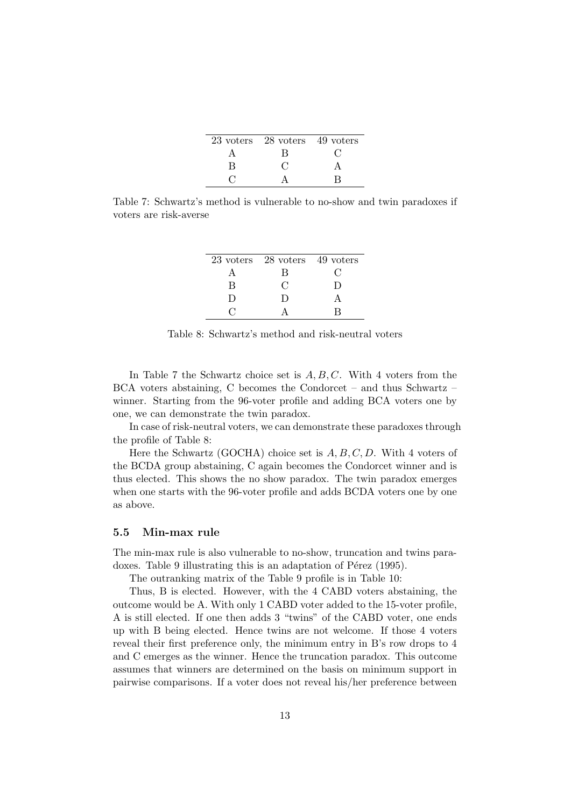|   | 23 voters 28 voters 49 voters |     |
|---|-------------------------------|-----|
|   | в                             | . . |
| R | ( :                           |     |
|   |                               |     |

Table 7: Schwartz's method is vulnerable to no-show and twin paradoxes if voters are risk-averse

|   | 23 voters 28 voters 49 voters |        |
|---|-------------------------------|--------|
|   | R                             | . .    |
| R | ( :                           | $\Box$ |
| Ð | Ð                             |        |
|   |                               |        |

Table 8: Schwartz's method and risk-neutral voters

In Table 7 the Schwartz choice set is  $A, B, C$ . With 4 voters from the BCA voters abstaining, C becomes the Condorcet – and thus Schwartz – winner. Starting from the 96-voter profile and adding BCA voters one by one, we can demonstrate the twin paradox.

In case of risk-neutral voters, we can demonstrate these paradoxes through the profile of Table 8:

Here the Schwartz (GOCHA) choice set is  $A, B, C, D$ . With 4 voters of the BCDA group abstaining, C again becomes the Condorcet winner and is thus elected. This shows the no show paradox. The twin paradox emerges when one starts with the 96-voter profile and adds BCDA voters one by one as above.

#### 5.5 Min-max rule

The min-max rule is also vulnerable to no-show, truncation and twins paradoxes. Table 9 illustrating this is an adaptation of Pérez (1995).

The outranking matrix of the Table 9 profile is in Table 10:

Thus, B is elected. However, with the 4 CABD voters abstaining, the outcome would be A. With only 1 CABD voter added to the 15-voter profile, A is still elected. If one then adds 3 "twins" of the CABD voter, one ends up with B being elected. Hence twins are not welcome. If those 4 voters reveal their first preference only, the minimum entry in B's row drops to 4 and C emerges as the winner. Hence the truncation paradox. This outcome assumes that winners are determined on the basis on minimum support in pairwise comparisons. If a voter does not reveal his/her preference between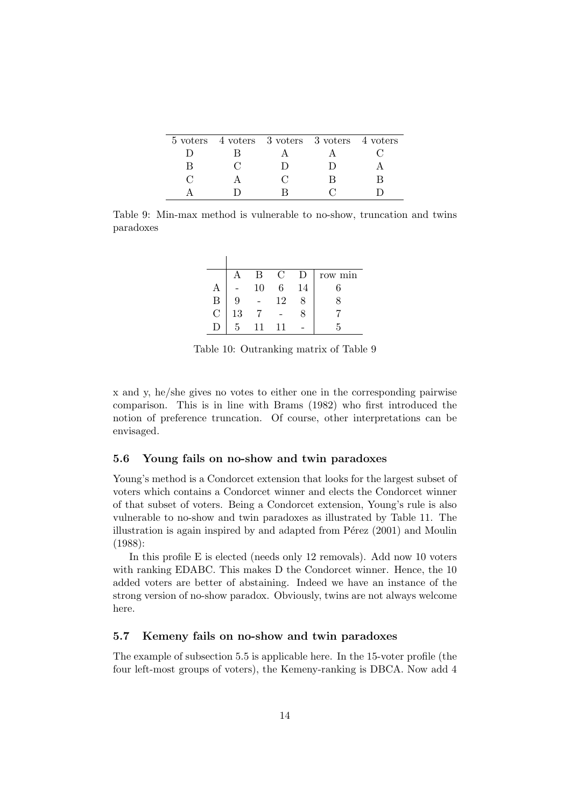|                |                | 5 voters 4 voters 3 voters 3 voters 4 voters |  |
|----------------|----------------|----------------------------------------------|--|
|                |                |                                              |  |
|                |                |                                              |  |
| $\mathfrak{g}$ | $\mathfrak{g}$ |                                              |  |
|                |                |                                              |  |

Table 9: Min-max method is vulnerable to no-show, truncation and twins paradoxes

|                  |    | B  | $\mathcal{C}$ | D  | row min |
|------------------|----|----|---------------|----|---------|
| Α                |    | 10 | 6             | 14 |         |
| $\boldsymbol{B}$ | 9  |    | 12            |    |         |
| $\overline{C}$   | 13 |    |               |    |         |
| $\Box$           | 5  | 11 | 11            |    |         |

Table 10: Outranking matrix of Table 9

x and y, he/she gives no votes to either one in the corresponding pairwise comparison. This is in line with Brams (1982) who first introduced the notion of preference truncation. Of course, other interpretations can be envisaged.

#### 5.6 Young fails on no-show and twin paradoxes

Young's method is a Condorcet extension that looks for the largest subset of voters which contains a Condorcet winner and elects the Condorcet winner of that subset of voters. Being a Condorcet extension, Young's rule is also vulnerable to no-show and twin paradoxes as illustrated by Table 11. The illustration is again inspired by and adapted from Pérez  $(2001)$  and Moulin (1988):

In this profile E is elected (needs only 12 removals). Add now 10 voters with ranking EDABC. This makes D the Condorcet winner. Hence, the 10 added voters are better of abstaining. Indeed we have an instance of the strong version of no-show paradox. Obviously, twins are not always welcome here.

#### 5.7 Kemeny fails on no-show and twin paradoxes

The example of subsection 5.5 is applicable here. In the 15-voter profile (the four left-most groups of voters), the Kemeny-ranking is DBCA. Now add 4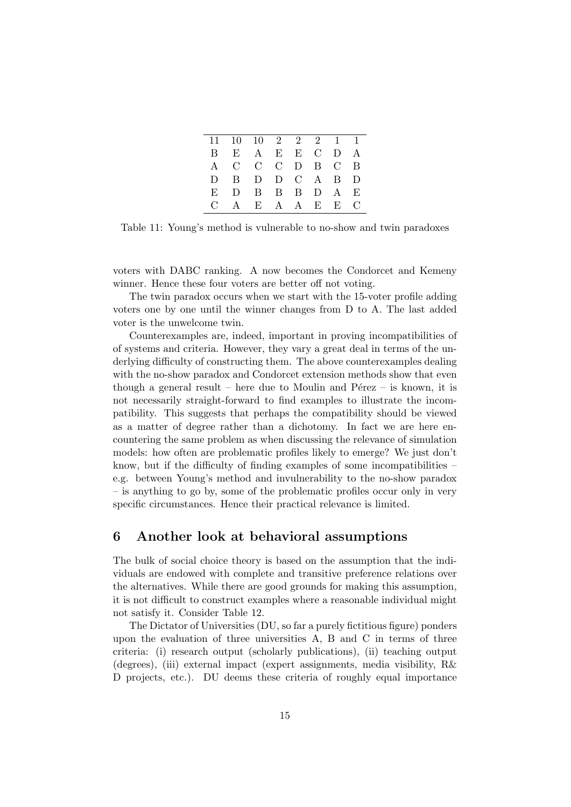|               | 11 10 10 2 2 2 1 1 |         |           |  |  |
|---------------|--------------------|---------|-----------|--|--|
|               | B E A E E C D A    |         |           |  |  |
|               | A C C C D B C B    |         |           |  |  |
|               | D B D D C A B D    |         |           |  |  |
|               | E D B B B D A E    |         |           |  |  |
| $\mathcal{C}$ |                    | $A \tF$ | A A E E C |  |  |

Table 11: Young's method is vulnerable to no-show and twin paradoxes

voters with DABC ranking. A now becomes the Condorcet and Kemeny winner. Hence these four voters are better off not voting.

The twin paradox occurs when we start with the 15-voter profile adding voters one by one until the winner changes from D to A. The last added voter is the unwelcome twin.

Counterexamples are, indeed, important in proving incompatibilities of of systems and criteria. However, they vary a great deal in terms of the underlying difficulty of constructing them. The above counterexamples dealing with the no-show paradox and Condorcet extension methods show that even though a general result – here due to Moulin and P $\acute{e}$ rez – is known, it is not necessarily straight-forward to find examples to illustrate the incompatibility. This suggests that perhaps the compatibility should be viewed as a matter of degree rather than a dichotomy. In fact we are here encountering the same problem as when discussing the relevance of simulation models: how often are problematic profiles likely to emerge? We just don't know, but if the difficulty of finding examples of some incompatibilities – e.g. between Young's method and invulnerability to the no-show paradox – is anything to go by, some of the problematic profiles occur only in very specific circumstances. Hence their practical relevance is limited.

### 6 Another look at behavioral assumptions

The bulk of social choice theory is based on the assumption that the individuals are endowed with complete and transitive preference relations over the alternatives. While there are good grounds for making this assumption, it is not difficult to construct examples where a reasonable individual might not satisfy it. Consider Table 12.

The Dictator of Universities (DU, so far a purely fictitious figure) ponders upon the evaluation of three universities A, B and C in terms of three criteria: (i) research output (scholarly publications), (ii) teaching output (degrees), (iii) external impact (expert assignments, media visibility, R& D projects, etc.). DU deems these criteria of roughly equal importance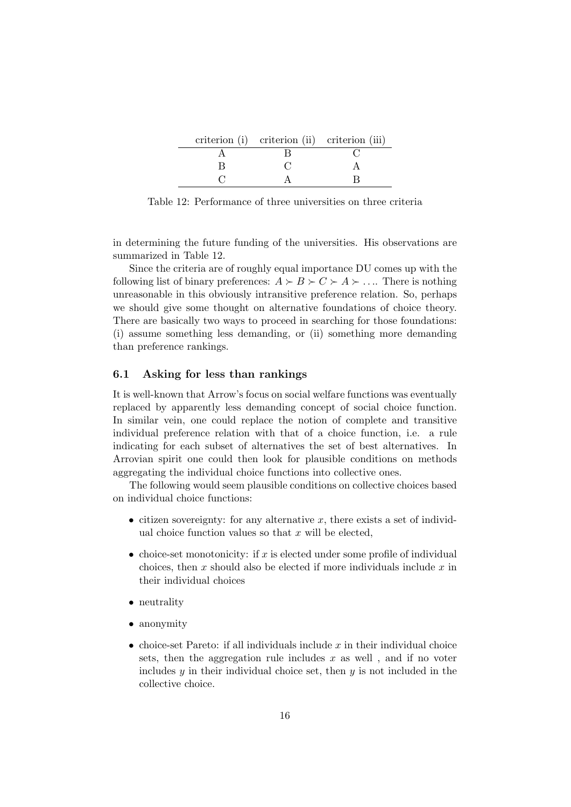| criterion (i) criterion (ii) criterion (iii) |  |
|----------------------------------------------|--|
|                                              |  |
|                                              |  |
|                                              |  |

Table 12: Performance of three universities on three criteria

in determining the future funding of the universities. His observations are summarized in Table 12.

Since the criteria are of roughly equal importance DU comes up with the following list of binary preferences:  $A \succ B \succ C \succ A \succ \ldots$  There is nothing unreasonable in this obviously intransitive preference relation. So, perhaps we should give some thought on alternative foundations of choice theory. There are basically two ways to proceed in searching for those foundations: (i) assume something less demanding, or (ii) something more demanding than preference rankings.

### 6.1 Asking for less than rankings

It is well-known that Arrow's focus on social welfare functions was eventually replaced by apparently less demanding concept of social choice function. In similar vein, one could replace the notion of complete and transitive individual preference relation with that of a choice function, i.e. a rule indicating for each subset of alternatives the set of best alternatives. In Arrovian spirit one could then look for plausible conditions on methods aggregating the individual choice functions into collective ones.

The following would seem plausible conditions on collective choices based on individual choice functions:

- citizen sovereignty: for any alternative  $x$ , there exists a set of individual choice function values so that  $x$  will be elected,
- choice-set monotonicity: if x is elected under some profile of individual choices, then x should also be elected if more individuals include x in their individual choices
- neutrality
- anonymity
- choice-set Pareto: if all individuals include  $x$  in their individual choice sets, then the aggregation rule includes  $x$  as well, and if no voter includes  $y$  in their individual choice set, then  $y$  is not included in the collective choice.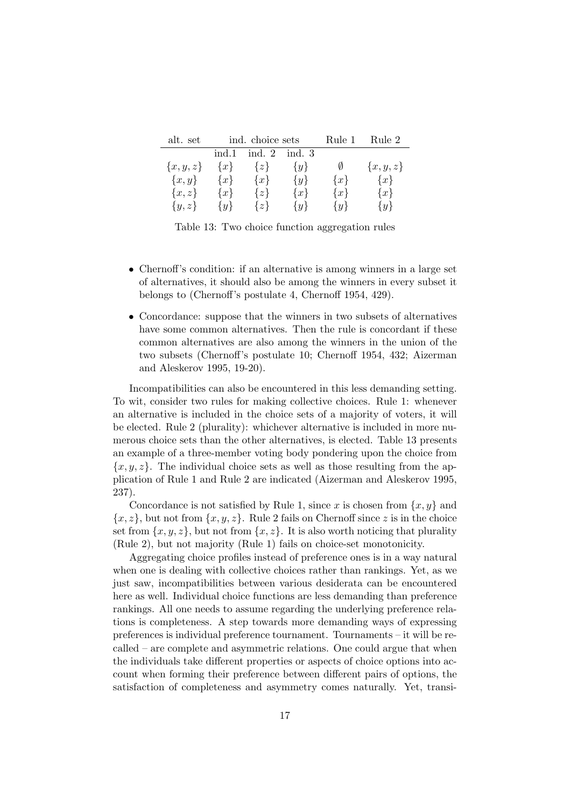| alt. set    | ind. choice sets |          |         | Rule 1  | Rule 2      |
|-------------|------------------|----------|---------|---------|-------------|
|             | ind.1            | ind. $2$ | ind. 3  |         |             |
| $\{x,y,z\}$ | $\{x\}$          | $\{z\}$  | $\{y\}$ | Ø       | ${x, y, z}$ |
| $\{x,y\}$   | $\{x\}$          | $\{x\}$  | $\{y\}$ | $\{x\}$ | $\{x\}$     |
| $\{x,z\}$   | $\{x\}$          | $\{z\}$  | $\{x\}$ | $\{x\}$ | $\{x\}$     |
| $\{y,z\}$   | $\{y\}$          | $\{z\}$  | $\{y\}$ | $\{y\}$ | $\{y\}$     |

Table 13: Two choice function aggregation rules

- Chernoff's condition: if an alternative is among winners in a large set of alternatives, it should also be among the winners in every subset it belongs to (Chernoff's postulate 4, Chernoff 1954, 429).
- Concordance: suppose that the winners in two subsets of alternatives have some common alternatives. Then the rule is concordant if these common alternatives are also among the winners in the union of the two subsets (Chernoff's postulate 10; Chernoff 1954, 432; Aizerman and Aleskerov 1995, 19-20).

Incompatibilities can also be encountered in this less demanding setting. To wit, consider two rules for making collective choices. Rule 1: whenever an alternative is included in the choice sets of a majority of voters, it will be elected. Rule 2 (plurality): whichever alternative is included in more numerous choice sets than the other alternatives, is elected. Table 13 presents an example of a three-member voting body pondering upon the choice from  ${x, y, z}$ . The individual choice sets as well as those resulting from the application of Rule 1 and Rule 2 are indicated (Aizerman and Aleskerov 1995, 237).

Concordance is not satisfied by Rule 1, since x is chosen from  $\{x, y\}$  and  ${x, z}$ , but not from  ${x, y, z}$ . Rule 2 fails on Chernoff since z is in the choice set from  $\{x, y, z\}$ , but not from  $\{x, z\}$ . It is also worth noticing that plurality (Rule 2), but not majority (Rule 1) fails on choice-set monotonicity.

Aggregating choice profiles instead of preference ones is in a way natural when one is dealing with collective choices rather than rankings. Yet, as we just saw, incompatibilities between various desiderata can be encountered here as well. Individual choice functions are less demanding than preference rankings. All one needs to assume regarding the underlying preference relations is completeness. A step towards more demanding ways of expressing preferences is individual preference tournament. Tournaments – it will be recalled – are complete and asymmetric relations. One could argue that when the individuals take different properties or aspects of choice options into account when forming their preference between different pairs of options, the satisfaction of completeness and asymmetry comes naturally. Yet, transi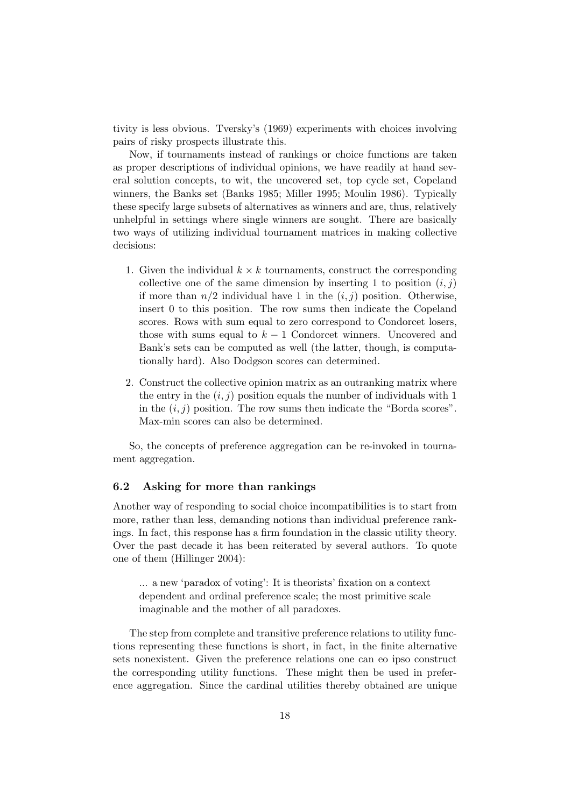tivity is less obvious. Tversky's (1969) experiments with choices involving pairs of risky prospects illustrate this.

Now, if tournaments instead of rankings or choice functions are taken as proper descriptions of individual opinions, we have readily at hand several solution concepts, to wit, the uncovered set, top cycle set, Copeland winners, the Banks set (Banks 1985; Miller 1995; Moulin 1986). Typically these specify large subsets of alternatives as winners and are, thus, relatively unhelpful in settings where single winners are sought. There are basically two ways of utilizing individual tournament matrices in making collective decisions:

- 1. Given the individual  $k \times k$  tournaments, construct the corresponding collective one of the same dimension by inserting 1 to position  $(i, j)$ if more than  $n/2$  individual have 1 in the  $(i, j)$  position. Otherwise, insert 0 to this position. The row sums then indicate the Copeland scores. Rows with sum equal to zero correspond to Condorcet losers, those with sums equal to  $k - 1$  Condorcet winners. Uncovered and Bank's sets can be computed as well (the latter, though, is computationally hard). Also Dodgson scores can determined.
- 2. Construct the collective opinion matrix as an outranking matrix where the entry in the  $(i, j)$  position equals the number of individuals with 1 in the  $(i, j)$  position. The row sums then indicate the "Borda scores". Max-min scores can also be determined.

So, the concepts of preference aggregation can be re-invoked in tournament aggregation.

#### 6.2 Asking for more than rankings

Another way of responding to social choice incompatibilities is to start from more, rather than less, demanding notions than individual preference rankings. In fact, this response has a firm foundation in the classic utility theory. Over the past decade it has been reiterated by several authors. To quote one of them (Hillinger 2004):

... a new 'paradox of voting': It is theorists' fixation on a context dependent and ordinal preference scale; the most primitive scale imaginable and the mother of all paradoxes.

The step from complete and transitive preference relations to utility functions representing these functions is short, in fact, in the finite alternative sets nonexistent. Given the preference relations one can eo ipso construct the corresponding utility functions. These might then be used in preference aggregation. Since the cardinal utilities thereby obtained are unique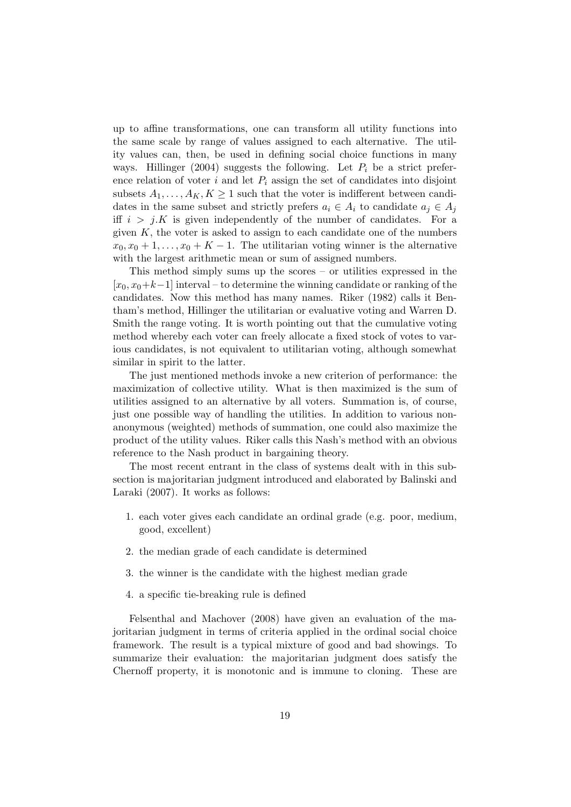up to affine transformations, one can transform all utility functions into the same scale by range of values assigned to each alternative. The utility values can, then, be used in defining social choice functions in many ways. Hillinger (2004) suggests the following. Let  $P_i$  be a strict preference relation of voter i and let  $P_i$  assign the set of candidates into disjoint subsets  $A_1, \ldots, A_K, K \geq 1$  such that the voter is indifferent between candidates in the same subset and strictly prefers  $a_i \in A_i$  to candidate  $a_i \in A_j$ iff  $i > j.K$  is given independently of the number of candidates. For a given  $K$ , the voter is asked to assign to each candidate one of the numbers  $x_0, x_0 + 1, \ldots, x_0 + K - 1$ . The utilitarian voting winner is the alternative with the largest arithmetic mean or sum of assigned numbers.

This method simply sums up the scores – or utilities expressed in the  $[x_0, x_0+k-1]$  interval – to determine the winning candidate or ranking of the candidates. Now this method has many names. Riker (1982) calls it Bentham's method, Hillinger the utilitarian or evaluative voting and Warren D. Smith the range voting. It is worth pointing out that the cumulative voting method whereby each voter can freely allocate a fixed stock of votes to various candidates, is not equivalent to utilitarian voting, although somewhat similar in spirit to the latter.

The just mentioned methods invoke a new criterion of performance: the maximization of collective utility. What is then maximized is the sum of utilities assigned to an alternative by all voters. Summation is, of course, just one possible way of handling the utilities. In addition to various nonanonymous (weighted) methods of summation, one could also maximize the product of the utility values. Riker calls this Nash's method with an obvious reference to the Nash product in bargaining theory.

The most recent entrant in the class of systems dealt with in this subsection is majoritarian judgment introduced and elaborated by Balinski and Laraki (2007). It works as follows:

- 1. each voter gives each candidate an ordinal grade (e.g. poor, medium, good, excellent)
- 2. the median grade of each candidate is determined
- 3. the winner is the candidate with the highest median grade
- 4. a specific tie-breaking rule is defined

Felsenthal and Machover (2008) have given an evaluation of the majoritarian judgment in terms of criteria applied in the ordinal social choice framework. The result is a typical mixture of good and bad showings. To summarize their evaluation: the majoritarian judgment does satisfy the Chernoff property, it is monotonic and is immune to cloning. These are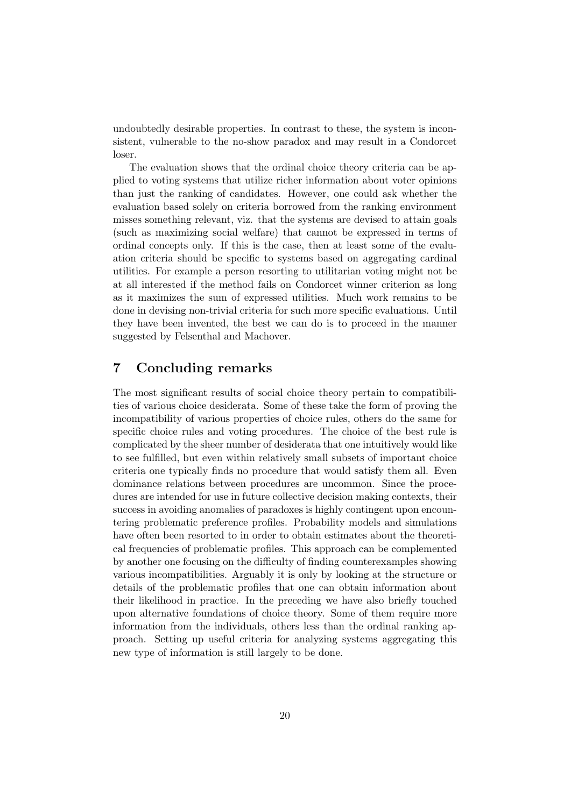undoubtedly desirable properties. In contrast to these, the system is inconsistent, vulnerable to the no-show paradox and may result in a Condorcet loser.

The evaluation shows that the ordinal choice theory criteria can be applied to voting systems that utilize richer information about voter opinions than just the ranking of candidates. However, one could ask whether the evaluation based solely on criteria borrowed from the ranking environment misses something relevant, viz. that the systems are devised to attain goals (such as maximizing social welfare) that cannot be expressed in terms of ordinal concepts only. If this is the case, then at least some of the evaluation criteria should be specific to systems based on aggregating cardinal utilities. For example a person resorting to utilitarian voting might not be at all interested if the method fails on Condorcet winner criterion as long as it maximizes the sum of expressed utilities. Much work remains to be done in devising non-trivial criteria for such more specific evaluations. Until they have been invented, the best we can do is to proceed in the manner suggested by Felsenthal and Machover.

# 7 Concluding remarks

The most significant results of social choice theory pertain to compatibilities of various choice desiderata. Some of these take the form of proving the incompatibility of various properties of choice rules, others do the same for specific choice rules and voting procedures. The choice of the best rule is complicated by the sheer number of desiderata that one intuitively would like to see fulfilled, but even within relatively small subsets of important choice criteria one typically finds no procedure that would satisfy them all. Even dominance relations between procedures are uncommon. Since the procedures are intended for use in future collective decision making contexts, their success in avoiding anomalies of paradoxes is highly contingent upon encountering problematic preference profiles. Probability models and simulations have often been resorted to in order to obtain estimates about the theoretical frequencies of problematic profiles. This approach can be complemented by another one focusing on the difficulty of finding counterexamples showing various incompatibilities. Arguably it is only by looking at the structure or details of the problematic profiles that one can obtain information about their likelihood in practice. In the preceding we have also briefly touched upon alternative foundations of choice theory. Some of them require more information from the individuals, others less than the ordinal ranking approach. Setting up useful criteria for analyzing systems aggregating this new type of information is still largely to be done.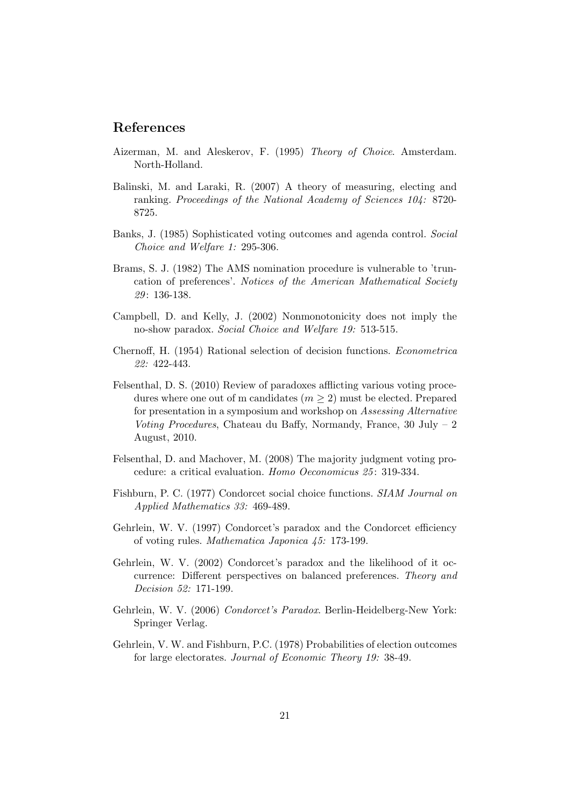### References

- Aizerman, M. and Aleskerov, F. (1995) Theory of Choice. Amsterdam. North-Holland.
- Balinski, M. and Laraki, R. (2007) A theory of measuring, electing and ranking. Proceedings of the National Academy of Sciences 104: 8720- 8725.
- Banks, J. (1985) Sophisticated voting outcomes and agenda control. Social Choice and Welfare 1: 295-306.
- Brams, S. J. (1982) The AMS nomination procedure is vulnerable to 'truncation of preferences'. Notices of the American Mathematical Society 29 : 136-138.
- Campbell, D. and Kelly, J. (2002) Nonmonotonicity does not imply the no-show paradox. Social Choice and Welfare 19: 513-515.
- Chernoff, H. (1954) Rational selection of decision functions. Econometrica 22: 422-443.
- Felsenthal, D. S. (2010) Review of paradoxes afflicting various voting procedures where one out of m candidates  $(m \geq 2)$  must be elected. Prepared for presentation in a symposium and workshop on Assessing Alternative Voting Procedures, Chateau du Baffy, Normandy, France, 30 July – 2 August, 2010.
- Felsenthal, D. and Machover, M. (2008) The majority judgment voting procedure: a critical evaluation. Homo Oeconomicus 25: 319-334.
- Fishburn, P. C. (1977) Condorcet social choice functions. SIAM Journal on Applied Mathematics 33: 469-489.
- Gehrlein, W. V. (1997) Condorcet's paradox and the Condorcet efficiency of voting rules. Mathematica Japonica 45: 173-199.
- Gehrlein, W. V. (2002) Condorcet's paradox and the likelihood of it occurrence: Different perspectives on balanced preferences. Theory and Decision 52: 171-199.
- Gehrlein, W. V. (2006) Condorcet's Paradox. Berlin-Heidelberg-New York: Springer Verlag.
- Gehrlein, V. W. and Fishburn, P.C. (1978) Probabilities of election outcomes for large electorates. Journal of Economic Theory 19: 38-49.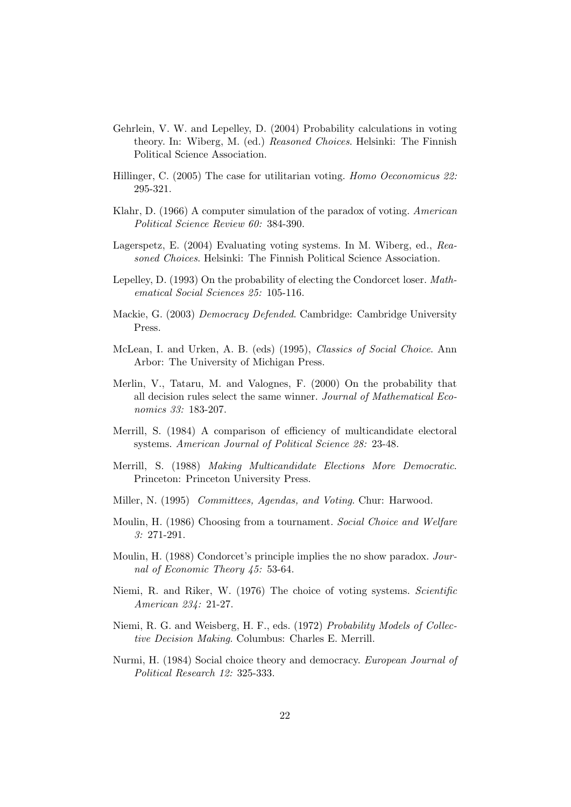- Gehrlein, V. W. and Lepelley, D. (2004) Probability calculations in voting theory. In: Wiberg, M. (ed.) Reasoned Choices. Helsinki: The Finnish Political Science Association.
- Hillinger, C. (2005) The case for utilitarian voting. Homo Oeconomicus 22: 295-321.
- Klahr, D. (1966) A computer simulation of the paradox of voting. American Political Science Review 60: 384-390.
- Lagerspetz, E. (2004) Evaluating voting systems. In M. Wiberg, ed., Reasoned Choices. Helsinki: The Finnish Political Science Association.
- Lepelley, D. (1993) On the probability of electing the Condorcet loser. Mathematical Social Sciences 25: 105-116.
- Mackie, G. (2003) Democracy Defended. Cambridge: Cambridge University Press.
- McLean, I. and Urken, A. B. (eds) (1995), Classics of Social Choice. Ann Arbor: The University of Michigan Press.
- Merlin, V., Tataru, M. and Valognes, F. (2000) On the probability that all decision rules select the same winner. Journal of Mathematical Economics 33: 183-207.
- Merrill, S. (1984) A comparison of efficiency of multicandidate electoral systems. American Journal of Political Science 28: 23-48.
- Merrill, S. (1988) Making Multicandidate Elections More Democratic. Princeton: Princeton University Press.
- Miller, N. (1995) Committees, Agendas, and Voting. Chur: Harwood.
- Moulin, H. (1986) Choosing from a tournament. Social Choice and Welfare 3: 271-291.
- Moulin, H. (1988) Condorcet's principle implies the no show paradox. Journal of Economic Theory 45: 53-64.
- Niemi, R. and Riker, W. (1976) The choice of voting systems. Scientific American 234: 21-27.
- Niemi, R. G. and Weisberg, H. F., eds. (1972) Probability Models of Collective Decision Making. Columbus: Charles E. Merrill.
- Nurmi, H. (1984) Social choice theory and democracy. European Journal of Political Research 12: 325-333.